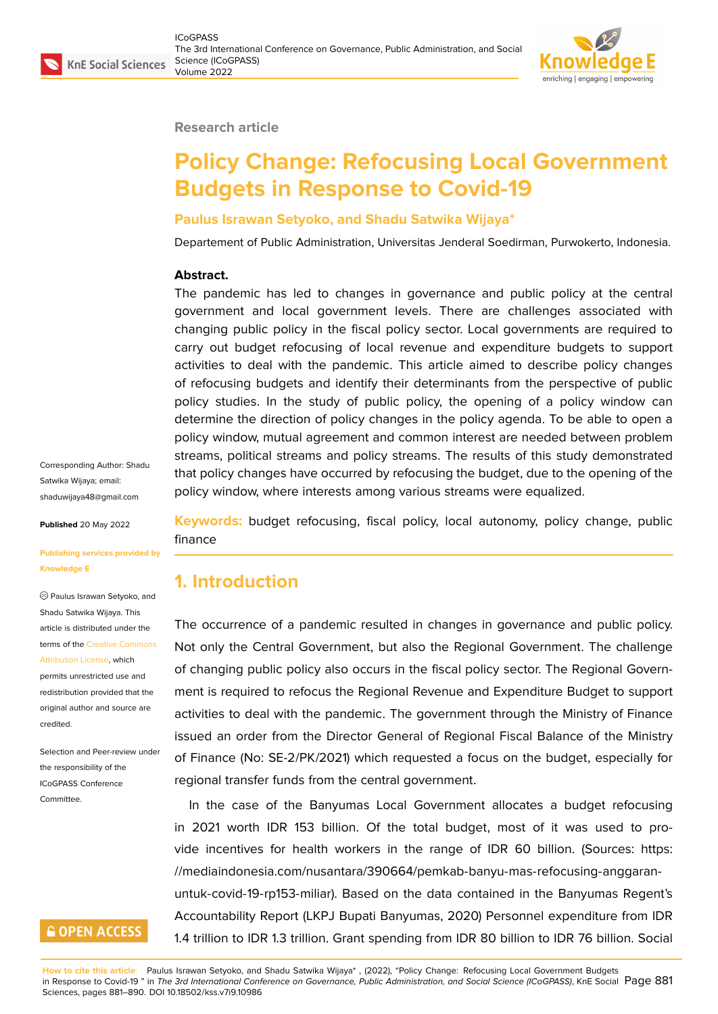

#### **Research article**

# **Policy Change: Refocusing Local Government Budgets in Response to Covid-19**

#### **Paulus Israwan Setyoko, and Shadu Satwika Wijaya\***

Departement of Public Administration, Universitas Jenderal Soedirman, Purwokerto, Indonesia.

#### **Abstract.**

The pandemic has led to changes in governance and public policy at the central government and local government levels. There are challenges associated with changing public policy in the fiscal policy sector. Local governments are required to carry out budget refocusing of local revenue and expenditure budgets to support activities to deal with the pandemic. This article aimed to describe policy changes of refocusing budgets and identify their determinants from the perspective of public policy studies. In the study of public policy, the opening of a policy window can determine the direction of policy changes in the policy agenda. To be able to open a policy window, mutual agreement and common interest are needed between problem streams, political streams and policy streams. The results of this study demonstrated that policy changes have occurred by refocusing the budget, due to the opening of the policy window, where interests among various streams were equalized.

Corresponding Author: Shadu Satwika Wijaya; email: shaduwijaya48@gmail.com

**Published** 20 May 2022

#### **[Publishing services provid](mailto:shaduwijaya48@gmail.com)ed by Knowledge E**

Paulus Israwan Setyoko, and Shadu Satwika Wijaya. This article is distributed under the terms of the Creative Commons Attribution License, which permits unrestricted use and redistribution provided that the original auth[or and source are](https://creativecommons.org/licenses/by/4.0/) [credited.](https://creativecommons.org/licenses/by/4.0/)

Selection and Peer-review under the responsibility of the ICoGPASS Conference Committee.

### **GOPEN ACCESS**

**Keywords:** budget refocusing, fiscal policy, local autonomy, policy change, public finance

### **1. Introduction**

The occurrence of a pandemic resulted in changes in governance and public policy. Not only the Central Government, but also the Regional Government. The challenge of changing public policy also occurs in the fiscal policy sector. The Regional Government is required to refocus the Regional Revenue and Expenditure Budget to support activities to deal with the pandemic. The government through the Ministry of Finance issued an order from the Director General of Regional Fiscal Balance of the Ministry of Finance (No: SE-2/PK/2021) which requested a focus on the budget, especially for regional transfer funds from the central government.

In the case of the Banyumas Local Government allocates a budget refocusing in 2021 worth IDR 153 billion. Of the total budget, most of it was used to provide incentives for health workers in the range of IDR 60 billion. (Sources: https: //mediaindonesia.com/nusantara/390664/pemkab-banyu-mas-refocusing-anggaranuntuk-covid-19-rp153-miliar). Based on the data contained in the Banyumas Regent's Accountability Report (LKPJ Bupati Banyumas, 2020) Personnel expenditure fro[m IDR](https://mediaindonesia.com/nusantara/390664/pemkab-banyu-mas-refocusing-anggaran-untuk-covid-19-rp153-miliar) [1.4 trillion to IDR 1.3 trillion. Grant spending from IDR 80 billion to IDR 76 billion. Soci](https://mediaindonesia.com/nusantara/390664/pemkab-banyu-mas-refocusing-anggaran-untuk-covid-19-rp153-miliar)al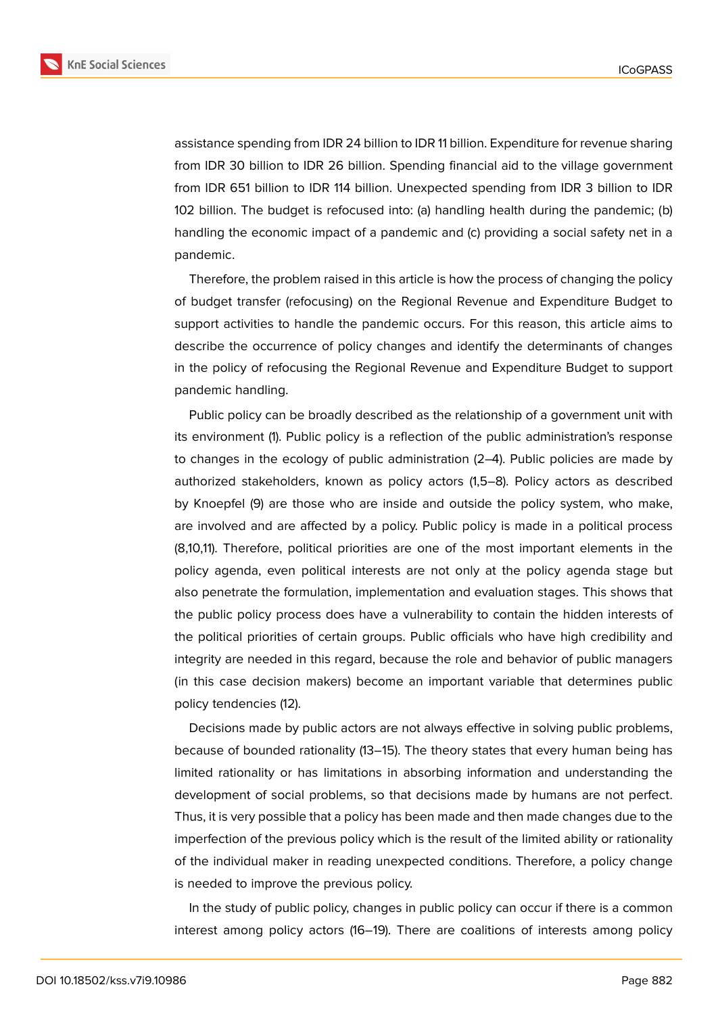**KnE Social Sciences** 



assistance spending from IDR 24 billion to IDR 11 billion. Expenditure for revenue sharing from IDR 30 billion to IDR 26 billion. Spending financial aid to the village government from IDR 651 billion to IDR 114 billion. Unexpected spending from IDR 3 billion to IDR 102 billion. The budget is refocused into: (a) handling health during the pandemic; (b) handling the economic impact of a pandemic and (c) providing a social safety net in a pandemic.

Therefore, the problem raised in this article is how the process of changing the policy of budget transfer (refocusing) on the Regional Revenue and Expenditure Budget to support activities to handle the pandemic occurs. For this reason, this article aims to describe the occurrence of policy changes and identify the determinants of changes in the policy of refocusing the Regional Revenue and Expenditure Budget to support pandemic handling.

Public policy can be broadly described as the relationship of a government unit with its environment (1). Public policy is a reflection of the public administration's response to changes in the ecology of public administration (2–4). Public policies are made by authorized stakeholders, known as policy actors (1,5–8). Policy actors as described by Knoepfel (9) are those who are inside and outside the policy system, who make, are involved and are affected by a policy. Public policy is made in a political process (8,10,11). Therefore, political priorities are one of the most important elements in the policy agenda, even political interests are not only at the policy agenda stage but also penetrate the formulation, implementation and evaluation stages. This shows that the public policy process does have a vulnerability to contain the hidden interests of the political priorities of certain groups. Public officials who have high credibility and integrity are needed in this regard, because the role and behavior of public managers (in this case decision makers) become an important variable that determines public policy tendencies (12).

Decisions made by public actors are not always effective in solving public problems, because of bounded rationality (13–15). The theory states that every human being has limited rationality or has limitations in absorbing information and understanding the development of social problems, so that decisions made by humans are not perfect. Thus, it is very possible that a policy has been made and then made changes due to the imperfection of the previous policy which is the result of the limited ability or rationality of the individual maker in reading unexpected conditions. Therefore, a policy change is needed to improve the previous policy.

In the study of public policy, changes in public policy can occur if there is a common interest among policy actors (16–19). There are coalitions of interests among policy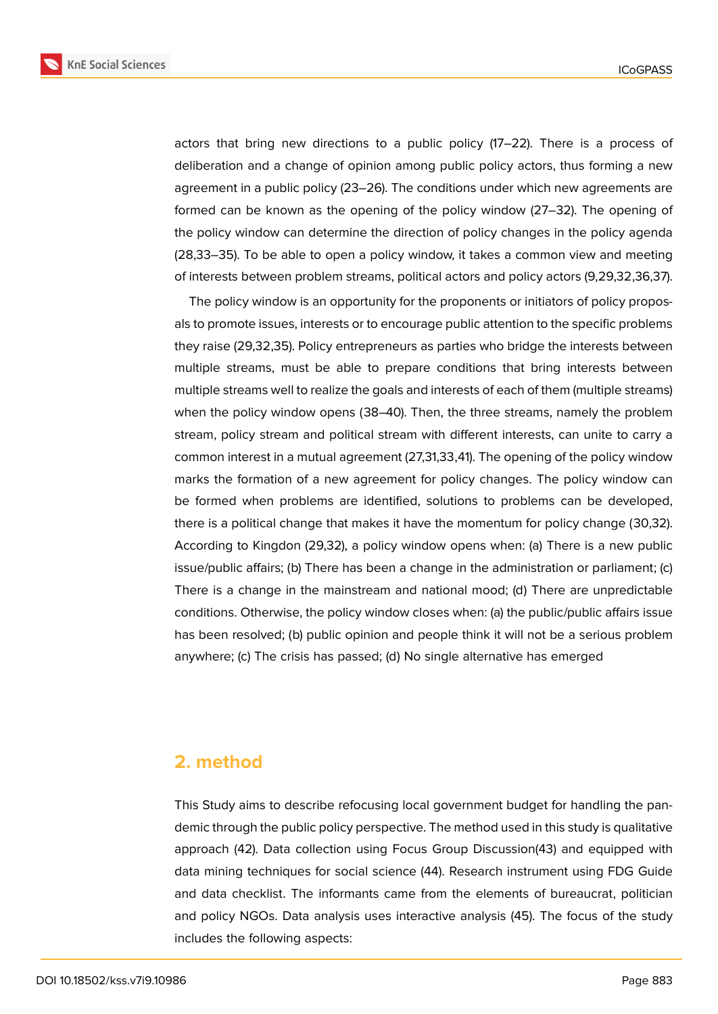**KnE Social Sciences** 



actors that bring new directions to a public policy (17–22). There is a process of deliberation and a change of opinion among public policy actors, thus forming a new agreement in a public policy (23–26). The conditions under which new agreements are formed can be known as the opening of the policy window (27–32). The opening of the policy window can determine the direction of policy changes in the policy agenda (28,33–35). To be able to open a policy window, it takes a common view and meeting of interests between problem streams, political actors and policy actors (9,29,32,36,37).

The policy window is an opportunity for the proponents or initiators of policy proposals to promote issues, interests or to encourage public attention to the specific problems they raise (29,32,35). Policy entrepreneurs as parties who bridge the interests between multiple streams, must be able to prepare conditions that bring interests between multiple streams well to realize the goals and interests of each of them (multiple streams) when the policy window opens (38–40). Then, the three streams, namely the problem stream, policy stream and political stream with different interests, can unite to carry a common interest in a mutual agreement (27,31,33,41). The opening of the policy window marks the formation of a new agreement for policy changes. The policy window can be formed when problems are identified, solutions to problems can be developed, there is a political change that makes it have the momentum for policy change (30,32). According to Kingdon (29,32), a policy window opens when: (a) There is a new public issue/public affairs; (b) There has been a change in the administration or parliament; (c) There is a change in the mainstream and national mood; (d) There are unpredictable conditions. Otherwise, the policy window closes when: (a) the public/public affairs issue has been resolved; (b) public opinion and people think it will not be a serious problem anywhere; (c) The crisis has passed; (d) No single alternative has emerged

### **2. method**

This Study aims to describe refocusing local government budget for handling the pandemic through the public policy perspective. The method used in this study is qualitative approach (42). Data collection using Focus Group Discussion(43) and equipped with data mining techniques for social science (44). Research instrument using FDG Guide and data checklist. The informants came from the elements of bureaucrat, politician and policy NGOs. Data analysis uses interactive analysis (45). The focus of the study includes the following aspects: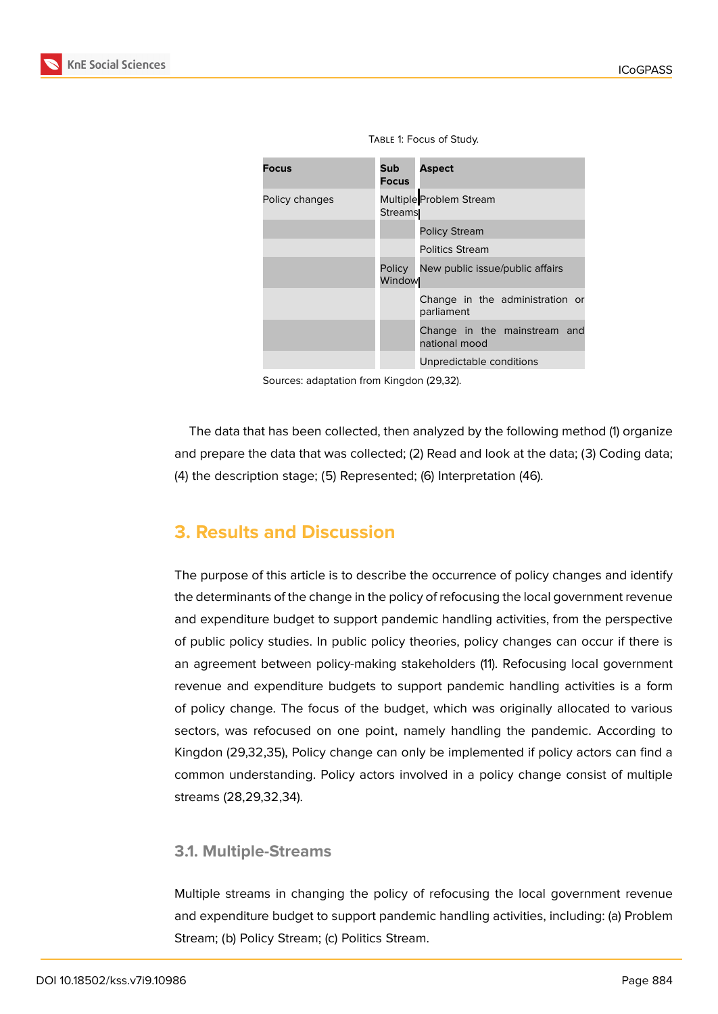

Table 1: Focus of Study.

Sources: adaptation from Kingdon (29,32).

The data that has been collected, then analyzed by the following method (1) organize and prepare the data that was collected; (2) Read and look at the data; (3) Coding data; (4) the description stage; (5) Represented; (6) Interpretation (46).

# **3. Results and Discussion**

The purpose of this article is to describe the occurrence of policy changes and identify the determinants of the change in the policy of refocusing the local government revenue and expenditure budget to support pandemic handling activities, from the perspective of public policy studies. In public policy theories, policy changes can occur if there is an agreement between policy-making stakeholders (11). Refocusing local government revenue and expenditure budgets to support pandemic handling activities is a form of policy change. The focus of the budget, which was originally allocated to various sectors, was refocused on one point, namely handling the pandemic. According to Kingdon (29,32,35), Policy change can only be implemented if policy actors can find a common understanding. Policy actors involved in a policy change consist of multiple streams (28,29,32,34).

#### **3.1. Multiple-Streams**

Multiple streams in changing the policy of refocusing the local government revenue and expenditure budget to support pandemic handling activities, including: (a) Problem Stream; (b) Policy Stream; (c) Politics Stream.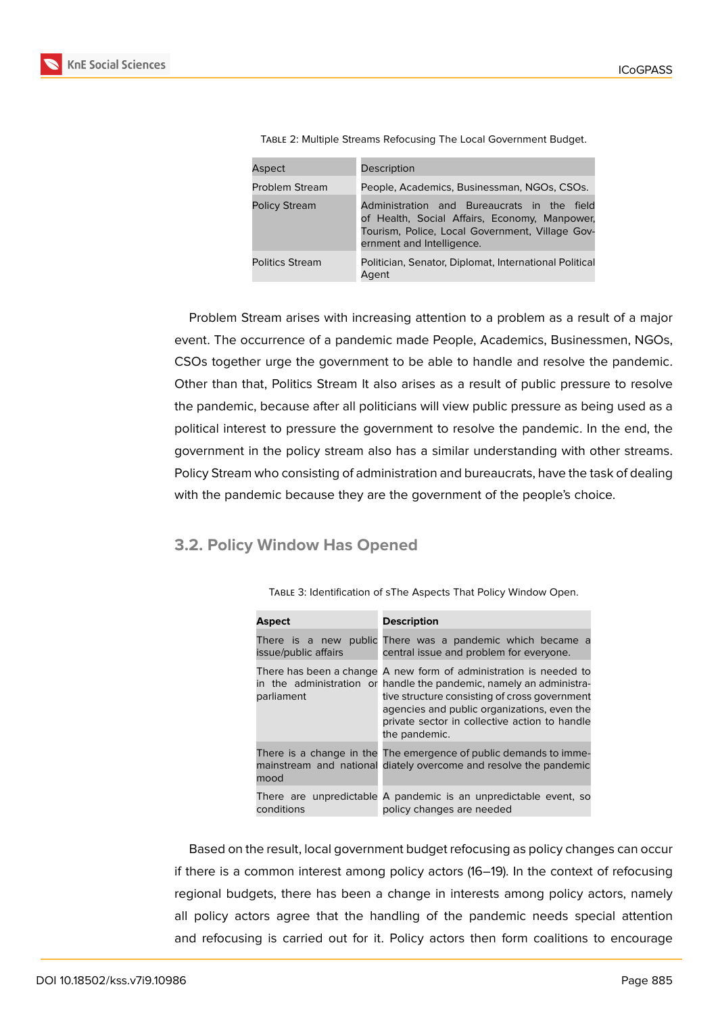| Aspect                 | Description                                                                                                                                                                  |
|------------------------|------------------------------------------------------------------------------------------------------------------------------------------------------------------------------|
| <b>Problem Stream</b>  | People, Academics, Businessman, NGOs, CSOs.                                                                                                                                  |
| <b>Policy Stream</b>   | Administration and Bureaucrats in the field<br>of Health, Social Affairs, Economy, Manpower,<br>Tourism, Police, Local Government, Village Gov-<br>ernment and Intelligence. |
| <b>Politics Stream</b> | Politician, Senator, Diplomat, International Political<br>Agent                                                                                                              |

| TABLE 2: Multiple Streams Refocusing The Local Government Budget. |  |
|-------------------------------------------------------------------|--|
|-------------------------------------------------------------------|--|

Problem Stream arises with increasing attention to a problem as a result of a major event. The occurrence of a pandemic made People, Academics, Businessmen, NGOs, CSOs together urge the government to be able to handle and resolve the pandemic. Other than that, Politics Stream It also arises as a result of public pressure to resolve the pandemic, because after all politicians will view public pressure as being used as a political interest to pressure the government to resolve the pandemic. In the end, the government in the policy stream also has a similar understanding with other streams. Policy Stream who consisting of administration and bureaucrats, have the task of dealing with the pandemic because they are the government of the people's choice.

#### **3.2. Policy Window Has Opened**

| <b>Aspect</b>        | <b>Description</b>                                                                                                                                                                                                                                                                                         |
|----------------------|------------------------------------------------------------------------------------------------------------------------------------------------------------------------------------------------------------------------------------------------------------------------------------------------------------|
| issue/public affairs | There is a new public There was a pandemic which became a<br>central issue and problem for everyone.                                                                                                                                                                                                       |
| parliament           | There has been a change A new form of administration is needed to<br>in the administration or handle the pandemic, namely an administra-<br>tive structure consisting of cross government<br>agencies and public organizations, even the<br>private sector in collective action to handle<br>the pandemic. |
| mood                 | There is a change in the The emergence of public demands to imme-<br>mainstream and national diately overcome and resolve the pandemic                                                                                                                                                                     |
| conditions           | There are unpredictable A pandemic is an unpredictable event, so<br>policy changes are needed                                                                                                                                                                                                              |

Table 3: Identification of sThe Aspects That Policy Window Open.

Based on the result, local government budget refocusing as policy changes can occur if there is a common interest among policy actors (16–19). In the context of refocusing regional budgets, there has been a change in interests among policy actors, namely all policy actors agree that the handling of the pandemic needs special attention and refocusing is carried out for it. Policy actors then form coalitions to encourage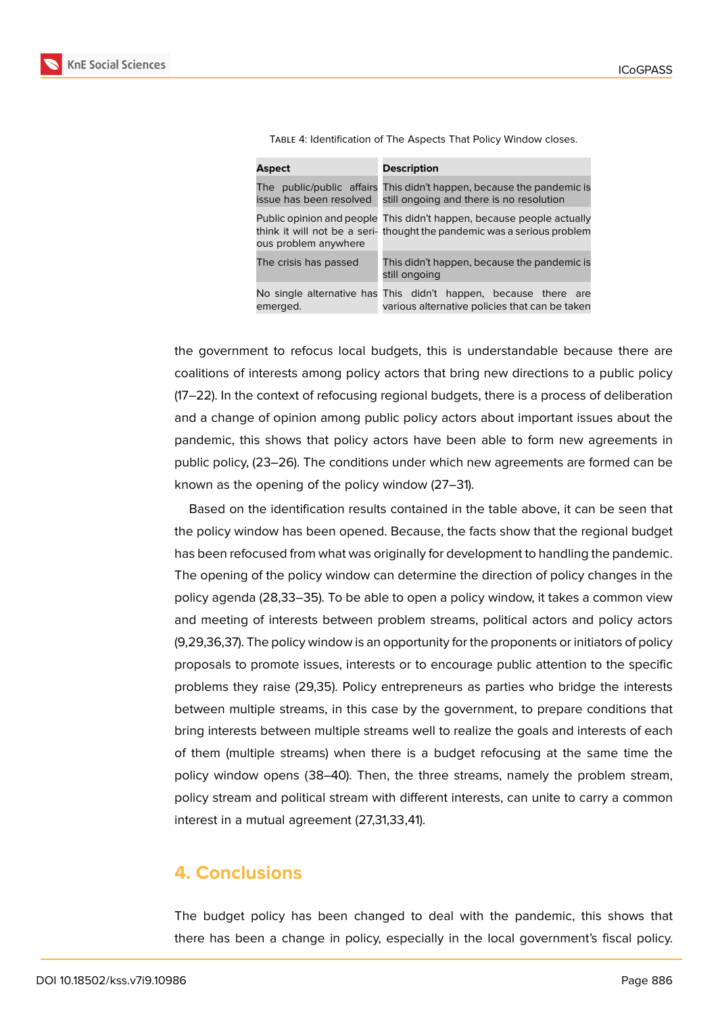| Aspect                | <b>Description</b>                                                                                                                              |
|-----------------------|-------------------------------------------------------------------------------------------------------------------------------------------------|
|                       | The public/public affairs This didn't happen, because the pandemic is<br>issue has been resolved still ongoing and there is no resolution       |
| ous problem anywhere  | Public opinion and people This didn't happen, because people actually<br>think it will not be a seri-thought the pandemic was a serious problem |
| The crisis has passed | This didn't happen, because the pandemic is<br>still ongoing                                                                                    |
| emerged.              | No single alternative has This didn't happen, because there are<br>various alternative policies that can be taken                               |

Table 4: Identification of The Aspects That Policy Window closes.

the government to refocus local budgets, this is understandable because there are coalitions of interests among policy actors that bring new directions to a public policy (17–22). In the context of refocusing regional budgets, there is a process of deliberation and a change of opinion among public policy actors about important issues about the pandemic, this shows that policy actors have been able to form new agreements in public policy, (23–26). The conditions under which new agreements are formed can be known as the opening of the policy window (27–31).

Based on the identification results contained in the table above, it can be seen that the policy window has been opened. Because, the facts show that the regional budget has been refocused from what was originally for development to handling the pandemic. The opening of the policy window can determine the direction of policy changes in the policy agenda (28,33–35). To be able to open a policy window, it takes a common view and meeting of interests between problem streams, political actors and policy actors (9,29,36,37). The policy window is an opportunity for the proponents or initiators of policy proposals to promote issues, interests or to encourage public attention to the specific problems they raise (29,35). Policy entrepreneurs as parties who bridge the interests between multiple streams, in this case by the government, to prepare conditions that bring interests between multiple streams well to realize the goals and interests of each of them (multiple streams) when there is a budget refocusing at the same time the policy window opens (38–40). Then, the three streams, namely the problem stream, policy stream and political stream with different interests, can unite to carry a common interest in a mutual agreement (27,31,33,41).

#### **4. Conclusions**

The budget policy has been changed to deal with the pandemic, this shows that there has been a change in policy, especially in the local government's fiscal policy.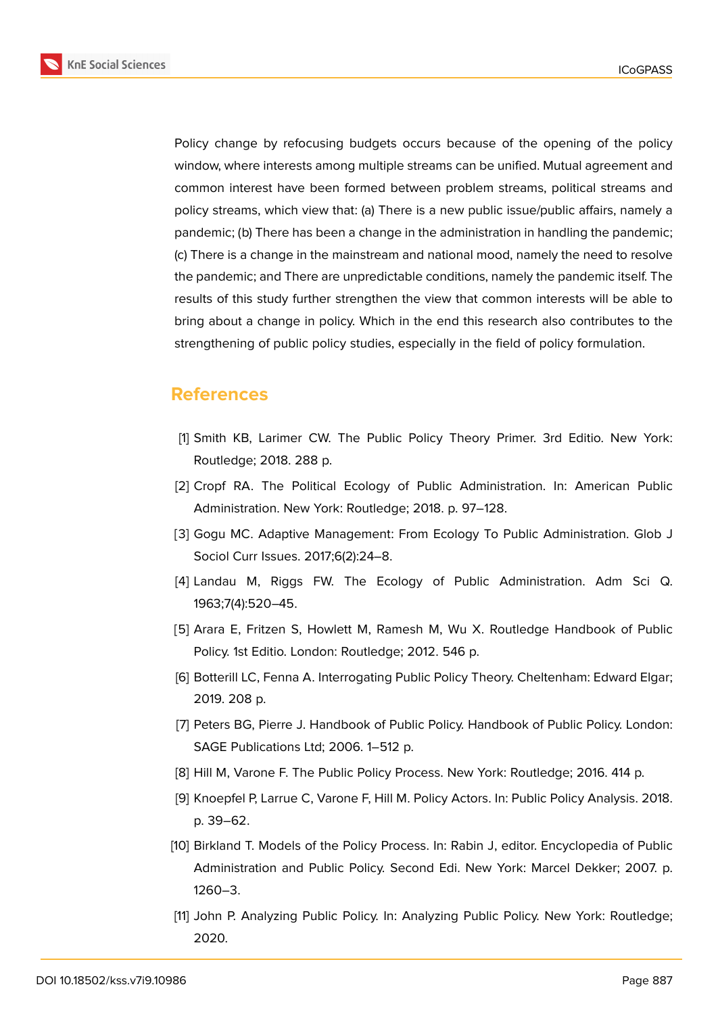**KnE Social Sciences** 



Policy change by refocusing budgets occurs because of the opening of the policy window, where interests among multiple streams can be unified. Mutual agreement and common interest have been formed between problem streams, political streams and policy streams, which view that: (a) There is a new public issue/public affairs, namely a pandemic; (b) There has been a change in the administration in handling the pandemic; (c) There is a change in the mainstream and national mood, namely the need to resolve the pandemic; and There are unpredictable conditions, namely the pandemic itself. The results of this study further strengthen the view that common interests will be able to bring about a change in policy. Which in the end this research also contributes to the strengthening of public policy studies, especially in the field of policy formulation.

## **References**

- [1] Smith KB, Larimer CW. The Public Policy Theory Primer. 3rd Editio. New York: Routledge; 2018. 288 p.
- [2] Cropf RA. The Political Ecology of Public Administration. In: American Public Administration. New York: Routledge; 2018. p. 97–128.
- [3] Gogu MC. Adaptive Management: From Ecology To Public Administration. Glob J Sociol Curr Issues. 2017;6(2):24–8.
- [4] Landau M, Riggs FW. The Ecology of Public Administration. Adm Sci Q. 1963;7(4):520–45.
- [5] Arara E, Fritzen S, Howlett M, Ramesh M, Wu X. Routledge Handbook of Public Policy. 1st Editio. London: Routledge; 2012. 546 p.
- [6] Botterill LC, Fenna A. Interrogating Public Policy Theory. Cheltenham: Edward Elgar; 2019. 208 p.
- [7] Peters BG, Pierre J. Handbook of Public Policy. Handbook of Public Policy. London: SAGE Publications Ltd; 2006. 1–512 p.
- [8] Hill M, Varone F. The Public Policy Process. New York: Routledge; 2016. 414 p.
- [9] Knoepfel P, Larrue C, Varone F, Hill M. Policy Actors. In: Public Policy Analysis. 2018. p. 39–62.
- [10] Birkland T. Models of the Policy Process. In: Rabin J, editor. Encyclopedia of Public Administration and Public Policy. Second Edi. New York: Marcel Dekker; 2007. p. 1260–3.
- [11] John P. Analyzing Public Policy. In: Analyzing Public Policy. New York: Routledge; 2020.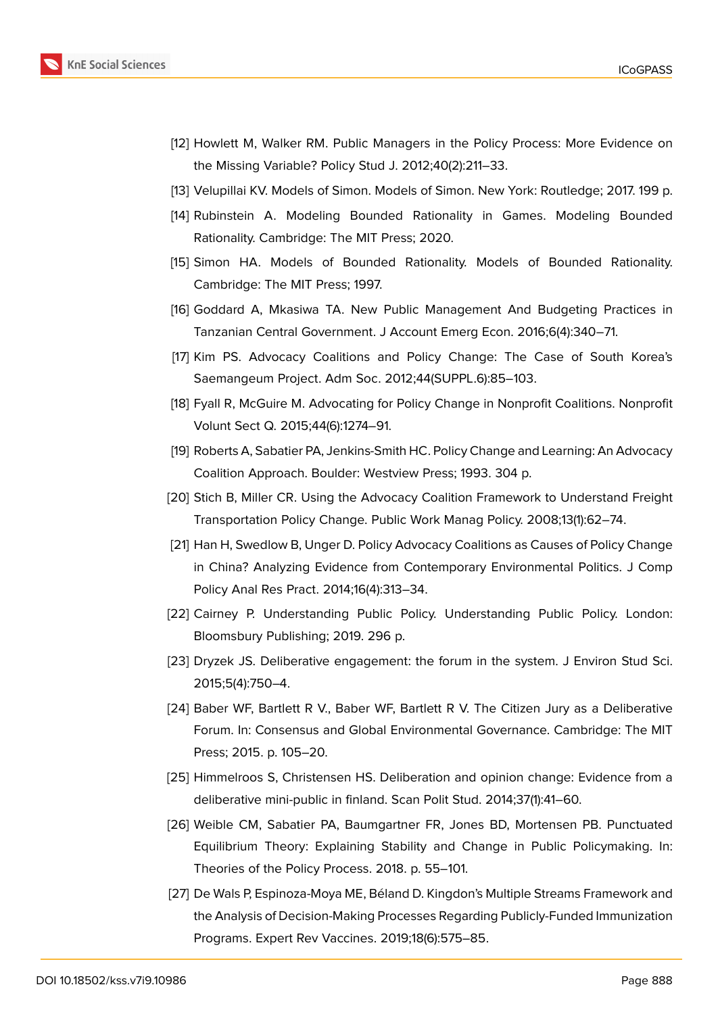

- [12] Howlett M, Walker RM. Public Managers in the Policy Process: More Evidence on the Missing Variable? Policy Stud J. 2012;40(2):211–33.
- [13] Velupillai KV. Models of Simon. Models of Simon. New York: Routledge; 2017. 199 p.
- [14] Rubinstein A. Modeling Bounded Rationality in Games. Modeling Bounded Rationality. Cambridge: The MIT Press; 2020.
- [15] Simon HA. Models of Bounded Rationality. Models of Bounded Rationality. Cambridge: The MIT Press; 1997.
- [16] Goddard A, Mkasiwa TA. New Public Management And Budgeting Practices in Tanzanian Central Government. J Account Emerg Econ. 2016;6(4):340–71.
- [17] Kim PS. Advocacy Coalitions and Policy Change: The Case of South Korea's Saemangeum Project. Adm Soc. 2012;44(SUPPL.6):85–103.
- [18] Fyall R, McGuire M. Advocating for Policy Change in Nonprofit Coalitions. Nonprofit Volunt Sect Q. 2015;44(6):1274–91.
- [19] Roberts A, Sabatier PA, Jenkins-Smith HC. Policy Change and Learning: An Advocacy Coalition Approach. Boulder: Westview Press; 1993. 304 p.
- [20] Stich B, Miller CR. Using the Advocacy Coalition Framework to Understand Freight Transportation Policy Change. Public Work Manag Policy. 2008;13(1):62–74.
- [21] Han H, Swedlow B, Unger D. Policy Advocacy Coalitions as Causes of Policy Change in China? Analyzing Evidence from Contemporary Environmental Politics. J Comp Policy Anal Res Pract. 2014;16(4):313–34.
- [22] Cairney P. Understanding Public Policy. Understanding Public Policy. London: Bloomsbury Publishing; 2019. 296 p.
- [23] Dryzek JS. Deliberative engagement: the forum in the system. J Environ Stud Sci. 2015;5(4):750–4.
- [24] Baber WF, Bartlett R V., Baber WF, Bartlett R V. The Citizen Jury as a Deliberative Forum. In: Consensus and Global Environmental Governance. Cambridge: The MIT Press; 2015. p. 105–20.
- [25] Himmelroos S, Christensen HS. Deliberation and opinion change: Evidence from a deliberative mini-public in finland. Scan Polit Stud. 2014;37(1):41–60.
- [26] Weible CM, Sabatier PA, Baumgartner FR, Jones BD, Mortensen PB. Punctuated Equilibrium Theory: Explaining Stability and Change in Public Policymaking. In: Theories of the Policy Process. 2018. p. 55–101.
- [27] De Wals P, Espinoza-Moya ME, Béland D. Kingdon's Multiple Streams Framework and the Analysis of Decision-Making Processes Regarding Publicly-Funded Immunization Programs. Expert Rev Vaccines. 2019;18(6):575–85.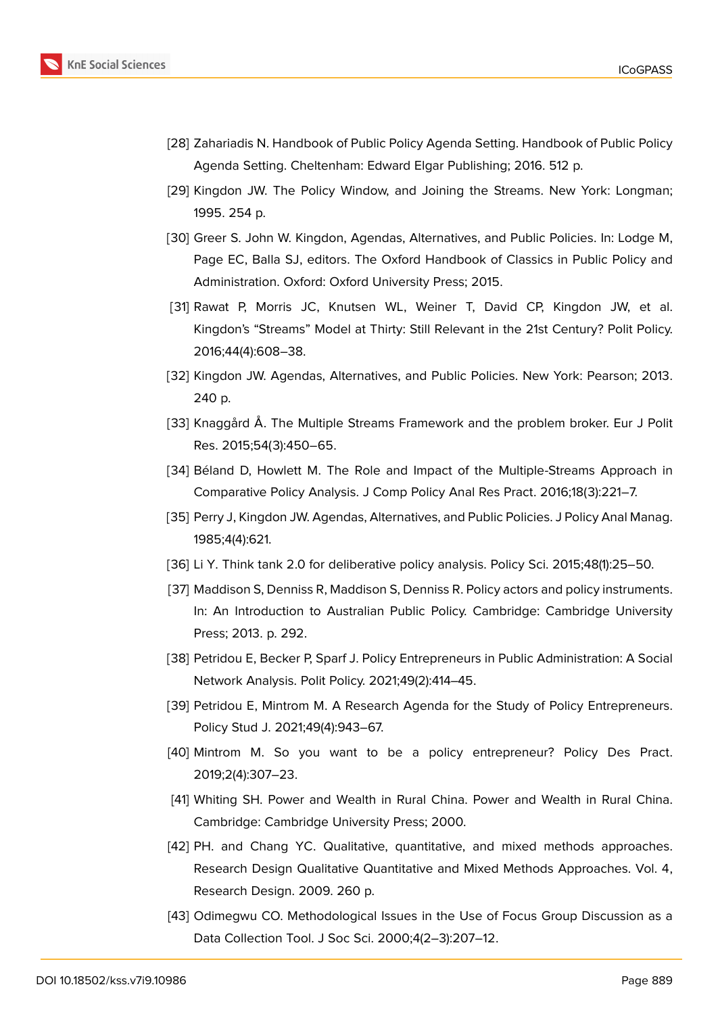

- [28] Zahariadis N. Handbook of Public Policy Agenda Setting. Handbook of Public Policy Agenda Setting. Cheltenham: Edward Elgar Publishing; 2016. 512 p.
- [29] Kingdon JW. The Policy Window, and Joining the Streams. New York: Longman; 1995. 254 p.
- [30] Greer S. John W. Kingdon, Agendas, Alternatives, and Public Policies. In: Lodge M, Page EC, Balla SJ, editors. The Oxford Handbook of Classics in Public Policy and Administration. Oxford: Oxford University Press; 2015.
- [31] Rawat P, Morris JC, Knutsen WL, Weiner T, David CP, Kingdon JW, et al. Kingdon's "Streams" Model at Thirty: Still Relevant in the 21st Century? Polit Policy. 2016;44(4):608–38.
- [32] Kingdon JW. Agendas, Alternatives, and Public Policies. New York: Pearson; 2013. 240 p.
- [33] Knaggård Å. The Multiple Streams Framework and the problem broker. Eur J Polit Res. 2015;54(3):450–65.
- [34] Béland D, Howlett M. The Role and Impact of the Multiple-Streams Approach in Comparative Policy Analysis. J Comp Policy Anal Res Pract. 2016;18(3):221–7.
- [35] Perry J, Kingdon JW. Agendas, Alternatives, and Public Policies. J Policy Anal Manag. 1985;4(4):621.
- [36] Li Y. Think tank 2.0 for deliberative policy analysis. Policy Sci. 2015;48(1):25–50.
- [37] Maddison S, Denniss R, Maddison S, Denniss R. Policy actors and policy instruments. In: An Introduction to Australian Public Policy. Cambridge: Cambridge University Press; 2013. p. 292.
- [38] Petridou E, Becker P, Sparf J. Policy Entrepreneurs in Public Administration: A Social Network Analysis. Polit Policy. 2021;49(2):414–45.
- [39] Petridou E, Mintrom M. A Research Agenda for the Study of Policy Entrepreneurs. Policy Stud J. 2021;49(4):943–67.
- [40] Mintrom M. So you want to be a policy entrepreneur? Policy Des Pract. 2019;2(4):307–23.
- [41] Whiting SH. Power and Wealth in Rural China. Power and Wealth in Rural China. Cambridge: Cambridge University Press; 2000.
- [42] PH. and Chang YC. Qualitative, quantitative, and mixed methods approaches. Research Design Qualitative Quantitative and Mixed Methods Approaches. Vol. 4, Research Design. 2009. 260 p.
- [43] Odimegwu CO. Methodological Issues in the Use of Focus Group Discussion as a Data Collection Tool. J Soc Sci. 2000;4(2–3):207–12.